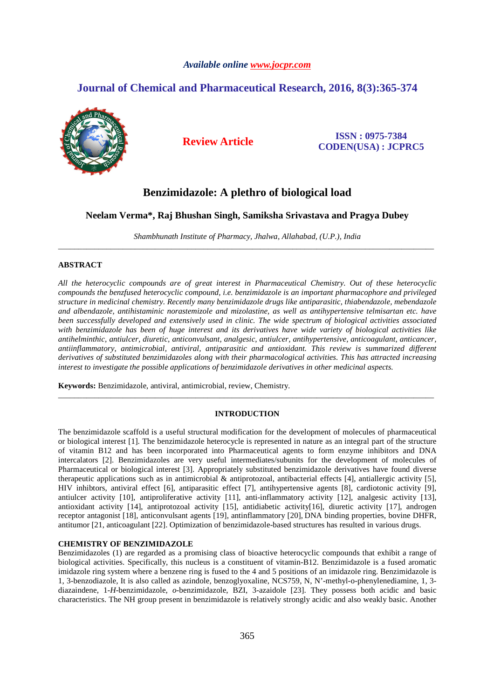# *Available online www.jocpr.com*

# **Journal of Chemical and Pharmaceutical Research, 2016, 8(3):365-374**



**Review Article ISSN : 0975-7384 CODEN(USA) : JCPRC5**

# **Benzimidazole: A plethro of biological load**

# **Neelam Verma\*, Raj Bhushan Singh, Samiksha Srivastava and Pragya Dubey**

*Shambhunath Institute of Pharmacy, Jhalwa, Allahabad, (U.P.), India*  \_\_\_\_\_\_\_\_\_\_\_\_\_\_\_\_\_\_\_\_\_\_\_\_\_\_\_\_\_\_\_\_\_\_\_\_\_\_\_\_\_\_\_\_\_\_\_\_\_\_\_\_\_\_\_\_\_\_\_\_\_\_\_\_\_\_\_\_\_\_\_\_\_\_\_\_\_\_\_\_\_\_\_\_\_\_\_\_\_\_\_\_\_

# **ABSTRACT**

*All the heterocyclic compounds are of great interest in Pharmaceutical Chemistry. Out of these heterocyclic compounds the benzfused heterocyclic compound, i.e. benzimidazole is an important pharmacophore and privileged structure in medicinal chemistry. Recently many benzimidazole drugs like antiparasitic, thiabendazole, mebendazole and albendazole, antihistaminic norastemizole and mizolastine, as well as antihypertensive telmisartan etc. have been successfully developed and extensively used in clinic. The wide spectrum of biological activities associated with benzimidazole has been of huge interest and its derivatives have wide variety of biological activities like antihelminthic, antiulcer, diuretic, anticonvulsant, analgesic, antiulcer, antihypertensive, anticoagulant, anticancer, antiinflammatory, antimicrobial, antiviral, antiparasitic and antioxidant. This review is summarized different derivatives of substituted benzimidazoles along with their pharmacological activities. This has attracted increasing interest to investigate the possible applications of benzimidazole derivatives in other medicinal aspects.* 

**Keywords:** Benzimidazole, antiviral, antimicrobial, review, Chemistry.

# **INTRODUCTION**

\_\_\_\_\_\_\_\_\_\_\_\_\_\_\_\_\_\_\_\_\_\_\_\_\_\_\_\_\_\_\_\_\_\_\_\_\_\_\_\_\_\_\_\_\_\_\_\_\_\_\_\_\_\_\_\_\_\_\_\_\_\_\_\_\_\_\_\_\_\_\_\_\_\_\_\_\_\_\_\_\_\_\_\_\_\_\_\_\_\_\_\_\_

The benzimidazole scaffold is a useful structural modification for the development of molecules of pharmaceutical or biological interest [1]. The benzimidazole heterocycle is represented in nature as an integral part of the structure of vitamin B12 and has been incorporated into Pharmaceutical agents to form enzyme inhibitors and DNA intercalators [2]. Benzimidazoles are very useful intermediates/subunits for the development of molecules of Pharmaceutical or biological interest [3]. Appropriately substituted benzimidazole derivatives have found diverse therapeutic applications such as in antimicrobial & antiprotozoal, antibacterial effects [4], antiallergic activity [5], HIV inhibtors, antiviral effect [6], antiparasitic effect [7], antihypertensive agents [8], cardiotonic activity [9], antiulcer activity [10], antiproliferative activity [11], anti-inflammatory activity [12], analgesic activity [13], antioxidant activity [14], antiprotozoal activity [15], antidiabetic activity[16], diuretic activity [17], androgen receptor antagonist [18], anticonvulsant agents [19], antinflammatory [20], DNA binding properties, bovine DHFR, antitumor [21, anticoagulant [22]. Optimization of benzimidazole-based structures has resulted in various drugs.

# **CHEMISTRY OF BENZIMIDAZOLE**

Benzimidazoles (1) are regarded as a promising class of bioactive heterocyclic compounds that exhibit a range of biological activities. Specifically, this nucleus is a constituent of vitamin-B12. Benzimidazole is a fused aromatic imidazole ring system where a benzene ring is fused to the 4 and 5 positions of an imidazole ring. Benzimidazole is 1, 3-benzodiazole, It is also called as azindole, benzoglyoxaline, NCS759, N, N'-methyl-o-phenylenediamine, 1, 3 diazaindene, 1-*H*-benzimidazole, *o*-benzimidazole, BZI, 3-azaidole [23]. They possess both acidic and basic characteristics. The NH group present in benzimidazole is relatively strongly acidic and also weakly basic. Another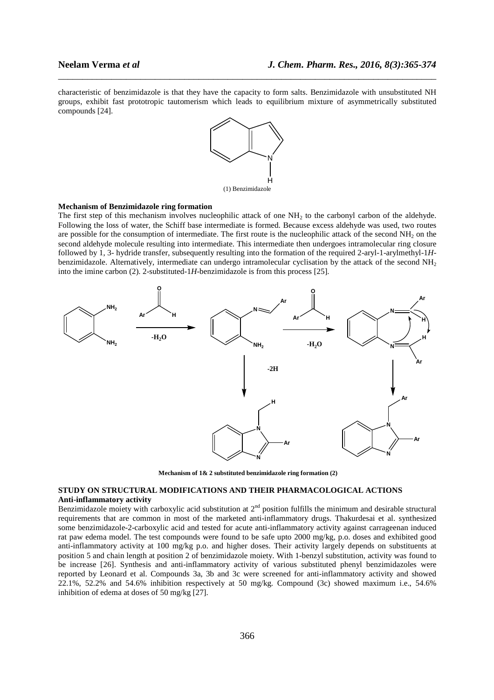characteristic of benzimidazole is that they have the capacity to form salts. Benzimidazole with unsubstituted NH groups, exhibit fast prototropic tautomerism which leads to equilibrium mixture of asymmetrically substituted compounds [24].

\_\_\_\_\_\_\_\_\_\_\_\_\_\_\_\_\_\_\_\_\_\_\_\_\_\_\_\_\_\_\_\_\_\_\_\_\_\_\_\_\_\_\_\_\_\_\_\_\_\_\_\_\_\_\_\_\_\_\_\_\_\_\_\_\_\_\_\_\_\_\_\_\_\_\_\_\_\_



### **Mechanism of Benzimidazole ring formation**

The first step of this mechanism involves nucleophilic attack of one  $NH<sub>2</sub>$  to the carbonyl carbon of the aldehyde. Following the loss of water, the Schiff base intermediate is formed. Because excess aldehyde was used, two routes are possible for the consumption of intermediate. The first route is the nucleophilic attack of the second  $NH<sub>2</sub>$  on the second aldehyde molecule resulting into intermediate. This intermediate then undergoes intramolecular ring closure followed by 1, 3- hydride transfer, subsequently resulting into the formation of the required 2-aryl-1-arylmethyl-1*H*benzimidazole. Alternatively, intermediate can undergo intramolecular cyclisation by the attack of the second NH<sup>2</sup> into the imine carbon (2). 2-substituted-1*H*-benzimidazole is from this process [25].



 **Mechanism of 1& 2 substituted benzimidazole ring formation (2)** 

# **STUDY ON STRUCTURAL MODIFICATIONS AND THEIR PHARMACOLOGICAL ACTIONS Anti-inflammatory activity**

Benzimidazole moiety with carboxylic acid substitution at  $2<sup>nd</sup>$  position fulfills the minimum and desirable structural requirements that are common in most of the marketed anti-inflammatory drugs. Thakurdesai et al. synthesized some benzimidazole-2-carboxylic acid and tested for acute anti-inflammatory activity against carrageenan induced rat paw edema model. The test compounds were found to be safe upto 2000 mg/kg, p.o. doses and exhibited good anti-inflammatory activity at 100 mg/kg p.o. and higher doses. Their activity largely depends on substituents at position 5 and chain length at position 2 of benzimidazole moiety. With 1-benzyl substitution, activity was found to be increase [26]. Synthesis and anti-inflammatory activity of various substituted phenyl benzimidazoles were reported by Leonard et al. Compounds 3a, 3b and 3c were screened for anti-inflammatory activity and showed 22.1%, 52.2% and 54.6% inhibition respectively at 50 mg/kg. Compound (3c) showed maximum i.e., 54.6% inhibition of edema at doses of 50 mg/kg [27].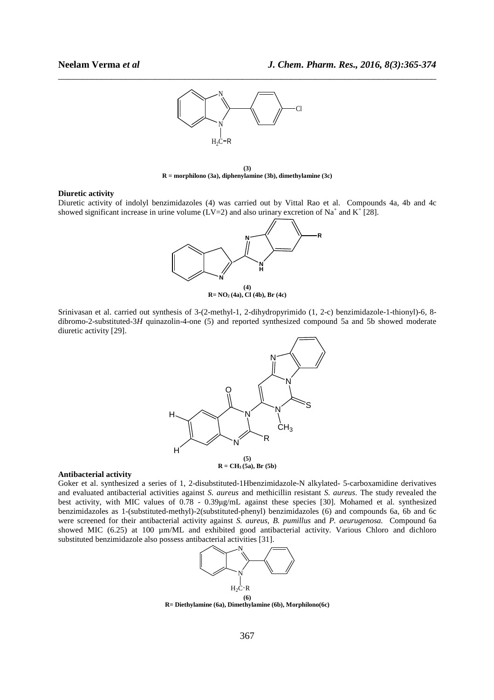

\_\_\_\_\_\_\_\_\_\_\_\_\_\_\_\_\_\_\_\_\_\_\_\_\_\_\_\_\_\_\_\_\_\_\_\_\_\_\_\_\_\_\_\_\_\_\_\_\_\_\_\_\_\_\_\_\_\_\_\_\_\_\_\_\_\_\_\_\_\_\_\_\_\_\_\_\_\_

**(3) R = morphilono (3a), diphenylamine (3b), dimethylamine (3c)** 

#### **Diuretic activity**

Diuretic activity of indolyl benzimidazoles (4) was carried out by Vittal Rao et al. Compounds 4a, 4b and 4c showed significant increase in urine volume (LV=2) and also urinary excretion of Na<sup>+</sup> and K<sup>+</sup> [28].



**R= NO2 (4a), Cl (4b), Br (4c)** 

Srinivasan et al. carried out synthesis of 3-(2-methyl-1, 2-dihydropyrimido (1, 2-c) benzimidazole-1-thionyl)-6, 8 dibromo-2-substituted-3*H* quinazolin-4-one (5) and reported synthesized compound 5a and 5b showed moderate diuretic activity [29].



#### **Antibacterial activity**

Goker et al. synthesized a series of 1, 2-disubstituted-1Hbenzimidazole-N alkylated- 5-carboxamidine derivatives and evaluated antibacterial activities against *S. aureus* and methicillin resistant *S. aureus*. The study revealed the best activity, with MIC values of 0.78 - 0.39µg/mL against these species [30]. Mohamed et al. synthesized benzimidazoles as 1-(substituted-methyl)-2(substituted-phenyl) benzimidazoles (6) and compounds 6a, 6b and 6c were screened for their antibacterial activity against *S. aureus, B. pumillus* and *P. aeurugenosa.* Compound 6a showed MIC (6.25) at 100  $\mu$ m/ML and exhibited good antibacterial activity. Various Chloro and dichloro substituted benzimidazole also possess antibacterial activities [31].

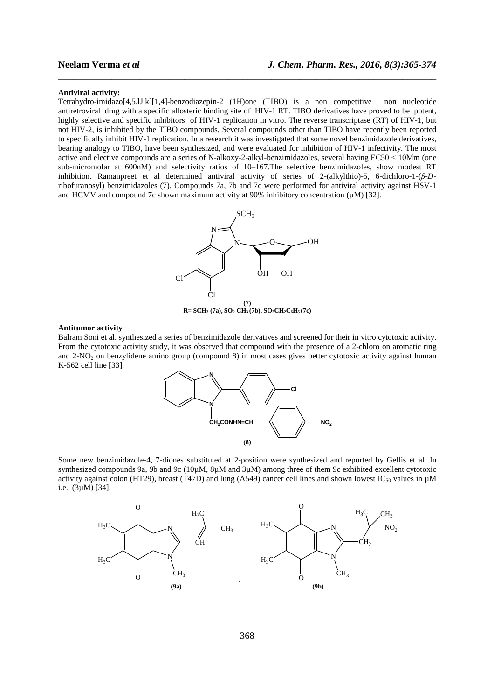#### **Antiviral activity:**

Tetrahydro-imidazo[4,5,lJ.k][1,4]-benzodiazepin-2 (1H)one (TIBO) is a non competitive non nucleotide antiretroviral drug with a specific allosteric binding site of HIV-1 RT. TIBO derivatives have proved to be potent, highly selective and specific inhibitors of HIV-1 replication in vitro. The reverse transcriptase (RT) of HIV-1, but not HIV-2, is inhibited by the TIBO compounds. Several compounds other than TIBO have recently been reported to specifically inhibit HIV-1 replication. In a research it was investigated that some novel benzimidazole derivatives, bearing analogy to TIBO, have been synthesized, and were evaluated for inhibition of HIV-1 infectivity. The most active and elective compounds are a series of N-alkoxy-2-alkyl-benzimidazoles, several having EC50 < 10Μm (one sub-micromolar at 600nM) and selectivity ratios of 10–167.The selective benzimidazoles, show modest RT inhibition. Ramanpreet et al determined antiviral activity of series of 2-(alkylthio)-5, 6-dichloro-1-(*β*-*D*ribofuranosyl) benzimidazoles (7). Compounds 7a, 7b and 7c were performed for antiviral activity against HSV-1 and HCMV and compound 7c shown maximum activity at 90% inhibitory concentration  $(\mu M)$  [32].

\_\_\_\_\_\_\_\_\_\_\_\_\_\_\_\_\_\_\_\_\_\_\_\_\_\_\_\_\_\_\_\_\_\_\_\_\_\_\_\_\_\_\_\_\_\_\_\_\_\_\_\_\_\_\_\_\_\_\_\_\_\_\_\_\_\_\_\_\_\_\_\_\_\_\_\_\_\_



#### **Antitumor activity**

Balram Soni et al. synthesized a series of benzimidazole derivatives and screened for their in vitro cytotoxic activity. From the cytotoxic activity study, it was observed that compound with the presence of a 2-chloro on aromatic ring and 2-NO<sub>2</sub> on benzylidene amino group (compound 8) in most cases gives better cytotoxic activity against human K-562 cell line [33].



Some new benzimidazole-4, 7-diones substituted at 2-position were synthesized and reported by Gellis et al. In synthesized compounds 9a, 9b and 9c (10µM, 8µM and 3µM) among three of them 9c exhibited excellent cytotoxic activity against colon (HT29), breast (T47D) and lung (A549) cancer cell lines and shown lowest IC<sub>50</sub> values in  $\mu$ M i.e., (3µM) [34].

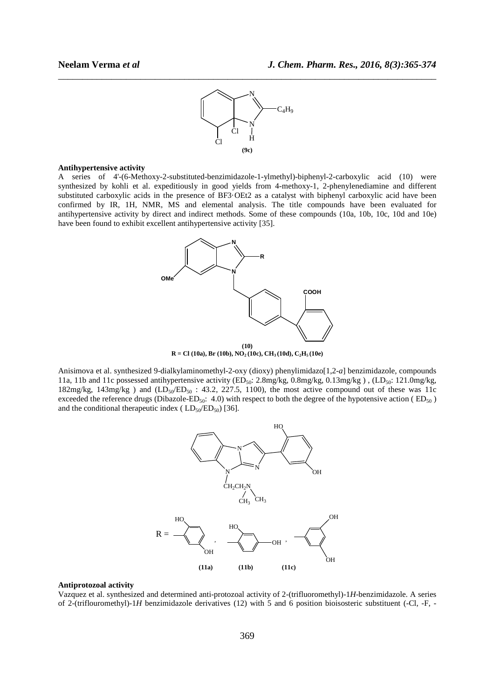

\_\_\_\_\_\_\_\_\_\_\_\_\_\_\_\_\_\_\_\_\_\_\_\_\_\_\_\_\_\_\_\_\_\_\_\_\_\_\_\_\_\_\_\_\_\_\_\_\_\_\_\_\_\_\_\_\_\_\_\_\_\_\_\_\_\_\_\_\_\_\_\_\_\_\_\_\_\_

## **Antihypertensive activity**

A series of 4'-(6-Methoxy-2-substituted-benzimidazole-1-ylmethyl)-biphenyl-2-carboxylic acid (10) were synthesized by kohli et al. expeditiously in good yields from 4-methoxy-1, 2-phenylenediamine and different substituted carboxylic acids in the presence of BF3·OEt2 as a catalyst with biphenyl carboxylic acid have been confirmed by IR, 1H, NMR, MS and elemental analysis. The title compounds have been evaluated for antihypertensive activity by direct and indirect methods. Some of these compounds (10a, 10b, 10c, 10d and 10e) have been found to exhibit excellent antihypertensive activity [35].



**R** = Cl (10a), Br (10b), NO<sub>2</sub> (10c), CH<sub>3</sub> (10d), C<sub>2</sub>H<sub>5</sub> (10e)

Anisimova et al. synthesized 9-dialkylaminomethyl-2-oxy (dioxy) phenylimidazo[1,2-*a*] benzimidazole, compounds 11a, 11b and 11c possessed antihypertensive activity (ED50: 2.8mg/kg, 0.8mg/kg, 0.13mg/kg ) , (LD50: 121.0mg/kg,  $182mg/kg$ ,  $143mg/kg$ ) and  $(LD_{50}/ED_{50}$ :  $43.2$ ,  $227.5$ ,  $1100$ ), the most active compound out of these was 11c exceeded the reference drugs (Dibazole-ED<sub>50</sub>: 4.0) with respect to both the degree of the hypotensive action ( $ED_{50}$ ) and the conditional therapeutic index ( $LD_{50}/ED_{50}$ ) [36].



#### **Antiprotozoal activity**

Vazquez et al. synthesized and determined anti-protozoal activity of 2-(trifluoromethyl)-1*H*-benzimidazole. A series of 2-(triflouromethyl)-1*H* benzimidazole derivatives (12) with 5 and 6 position bioisosteric substituent (-Cl, -F, -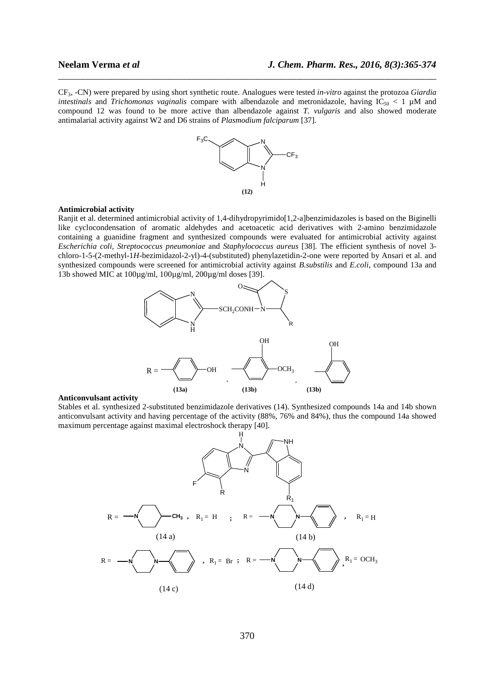CF3, -CN) were prepared by using short synthetic route. Analogues were tested *in-vitro* against the protozoa *Giardia intestinals* and *Trichomonas vaginalis* compare with albendazole and metronidazole, having  $IC_{50} < 1 \mu M$  and compound 12 was found to be more active than albendazole against *T. vulgaris* and also showed moderate antimalarial activity against W2 and D6 strains of *Plasmodium falciparum* [37]*.* 

\_\_\_\_\_\_\_\_\_\_\_\_\_\_\_\_\_\_\_\_\_\_\_\_\_\_\_\_\_\_\_\_\_\_\_\_\_\_\_\_\_\_\_\_\_\_\_\_\_\_\_\_\_\_\_\_\_\_\_\_\_\_\_\_\_\_\_\_\_\_\_\_\_\_\_\_\_\_



#### **Antimicrobial activity**

Ranjit et al. determined antimicrobial activity of 1,4-dihydropyrimido[1,2-a]benzimidazoles is based on the Biginelli like cyclocondensation of aromatic aldehydes and acetoacetic acid derivatives with 2-amino benzimidazole containing a guanidine fragment and synthesized compounds were evaluated for antimicrobial activity against *Escherichia coli*, *Streptococcus pneumoniae* and *Staphylococcus aureus* [38]. The efficient synthesis of novel 3 chloro-1-5-(2-methyl-1*H*-bezimidazol-2-yl)-4-(substituted) phenylazetidin-2-one were reported by Ansari et al. and synthesized compounds were screened for antimicrobial activity against *B.substilis* and *E.coli*, compound 13a and 13b showed MIC at 100µg/ml, 100µg/ml, 200µg/ml doses [39].



### **Anticonvulsant activity**

Stables et al. synthesized 2-substituted benzimidazole derivatives (14). Synthesized compounds 14a and 14b shown anticonvulsant activity and having percentage of the activity (88%, 76% and 84%), thus the compound 14a showed maximum percentage against maximal electroshock therapy [40].

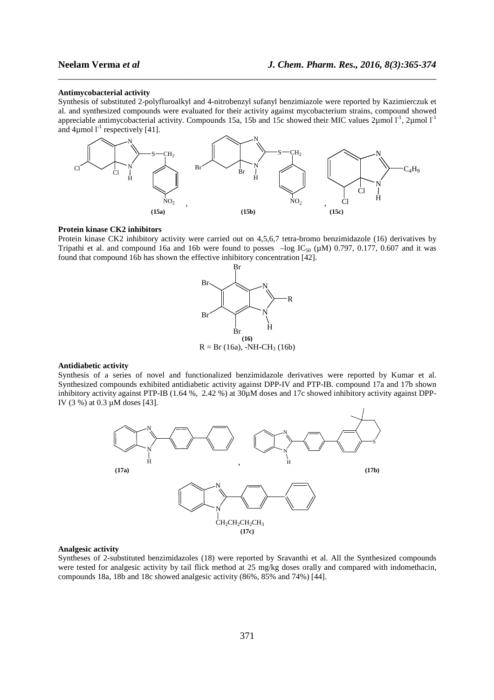#### **Antimycobacterial activity**

Synthesis of substituted 2-polyfluroalkyl and 4-nitrobenzyl sufanyl benzimiazole were reported by Kazimierczuk et al. and synthesized compounds were evaluated for their activity against mycobacterium strains, compound showed appreciable antimycobacterial activity. Compounds 15a, 15b and 15c showed their MIC values 2µmol l<sup>-1</sup>, 2µmol l<sup>-1</sup> and 4 $\mu$ mol l<sup>-1</sup> respectively [41].

\_\_\_\_\_\_\_\_\_\_\_\_\_\_\_\_\_\_\_\_\_\_\_\_\_\_\_\_\_\_\_\_\_\_\_\_\_\_\_\_\_\_\_\_\_\_\_\_\_\_\_\_\_\_\_\_\_\_\_\_\_\_\_\_\_\_\_\_\_\_\_\_\_\_\_\_\_\_



#### **Protein kinase CK2 inhibitors**

Protein kinase CK2 inhibitory activity were carried out on 4,5,6,7 tetra-bromo benzimidazole (16) derivatives by Tripathi et al. and compound 16a and 16b were found to posses  $-\log$  IC<sub>50</sub> ( $\mu$ M) 0.797, 0.177, 0.607 and it was found that compound 16b has shown the effective inhibitory concentration [42].



#### **Antidiabetic activity**

Synthesis of a series of novel and functionalized benzimidazole derivatives were reported by Kumar et al. Synthesized compounds exhibited antidiabetic activity against DPP-IV and PTP-IB. compound 17a and 17b shown inhibitory activity against PTP-IB (1.64 %, 2.42 %) at 30µM doses and 17c showed inhibitory activity against DPP-IV (3 %) at 0.3 µM doses [43].



#### **Analgesic activity**

Syntheses of 2-substituted benzimidazoles (18) were reported by Sravanthi et al. All the Synthesized compounds were tested for analgesic activity by tail flick method at 25 mg/kg doses orally and compared with indomethacin, compounds 18a, 18b and 18c showed analgesic activity (86%, 85% and 74%) [44].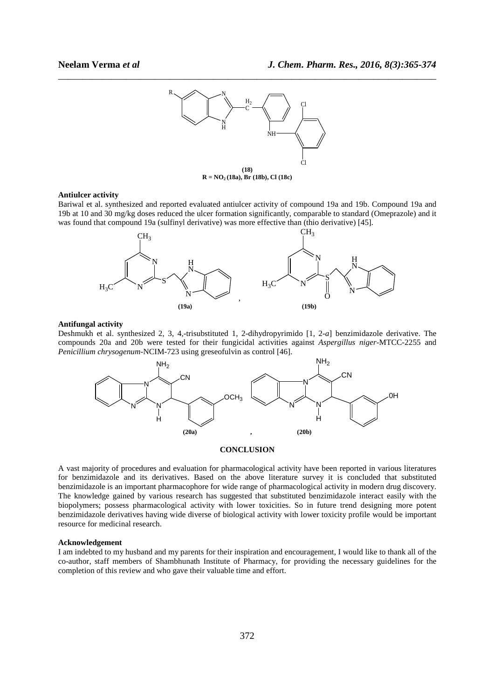

\_\_\_\_\_\_\_\_\_\_\_\_\_\_\_\_\_\_\_\_\_\_\_\_\_\_\_\_\_\_\_\_\_\_\_\_\_\_\_\_\_\_\_\_\_\_\_\_\_\_\_\_\_\_\_\_\_\_\_\_\_\_\_\_\_\_\_\_\_\_\_\_\_\_\_\_\_\_

**R = NO2 (18a), Br (18b), Cl (18c)** 

# **Antiulcer activity**

Bariwal et al. synthesized and reported evaluated antiulcer activity of compound 19a and 19b. Compound 19a and 19b at 10 and 30 mg/kg doses reduced the ulcer formation significantly, comparable to standard (Omeprazole) and it was found that compound 19a (sulfinyl derivative) was more effective than (thio derivative) [45].



#### **Antifungal activity**

Deshmukh et al. synthesized 2, 3, 4,-trisubstituted 1, 2-dihydropyrimido [1, 2-*a*] benzimidazole derivative. The compounds 20a and 20b were tested for their fungicidal activities against *Aspergillus niger*-MTCC-2255 and *Penicillium chrysogenum*-NCIM-723 using greseofulvin as control [46].



# **CONCLUSION**

A vast majority of procedures and evaluation for pharmacological activity have been reported in various literatures for benzimidazole and its derivatives. Based on the above literature survey it is concluded that substituted benzimidazole is an important pharmacophore for wide range of pharmacological activity in modern drug discovery. The knowledge gained by various research has suggested that substituted benzimidazole interact easily with the biopolymers; possess pharmacological activity with lower toxicities. So in future trend designing more potent benzimidazole derivatives having wide diverse of biological activity with lower toxicity profile would be important resource for medicinal research.

### **Acknowledgement**

I am indebted to my husband and my parents for their inspiration and encouragement, I would like to thank all of the co-author, staff members of Shambhunath Institute of Pharmacy, for providing the necessary guidelines for the completion of this review and who gave their valuable time and effort.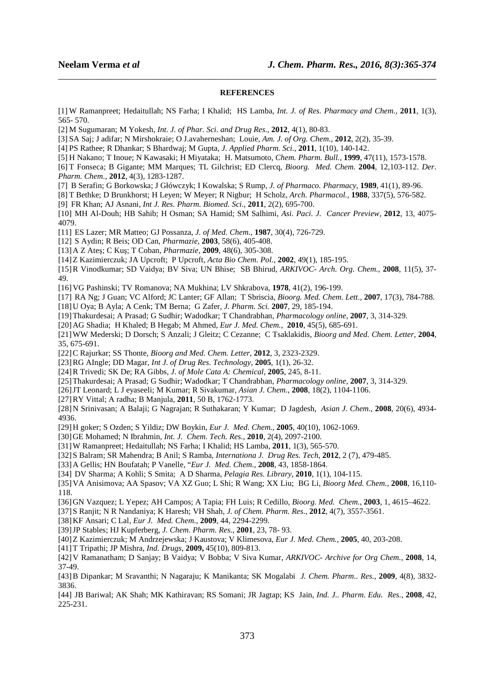### **REFERENCES**

\_\_\_\_\_\_\_\_\_\_\_\_\_\_\_\_\_\_\_\_\_\_\_\_\_\_\_\_\_\_\_\_\_\_\_\_\_\_\_\_\_\_\_\_\_\_\_\_\_\_\_\_\_\_\_\_\_\_\_\_\_\_\_\_\_\_\_\_\_\_\_\_\_\_\_\_\_\_

[1] W Ramanpreet; Hedaitullah; NS Farha; I Khalid; HS Lamba, *Int. J. of Res. Pharmacy and Chem.*, **2011**, 1(3), 565- 570.

[2] M Sugumaran; M Yokesh, *Int. J. of Phar. Sci. and Drug Res.,* **2012**, 4(1), 80-83.

[3] SA Saj; J adifar; N Mirshokraie; O J.avaherneshan; Louie, *Am. J. of Org. Chem.*, **2012**, 2(2), 35-39.

[4] PS Rathee; R Dhankar; S Bhardwaj; M Gupta, *J. Applied Pharm. Sci.,* **2011**, 1(10), 140-142.

- [5] H Nakano; T Inoue; N Kawasaki; H Miyataka; H. Matsumoto, *Chem. Pharm. Bull.*, **1999**, 47(11), 1573-1578.
- [6] T Fonseca; B Gigante; MM Marques; TL Gilchrist; ED Clercq, *Bioorg. Med. Chem.* **2004**, 12,103-112. *Der.*

*Pharm. Chem.*, **2012**, 4(3), 1283-1287.

[7] B Serafin; G Borkowska; J Główczyk; I Kowalska; S Rump, *J. of Pharmaco. Pharmacy*, **1989**, 41(1), 89-96.

[8] T Bethke; D Brunkhorst; H Leyen; W Meyer; R Nigbur; H Scholz, *Arch. Pharmacol.*, **1988**, 337(5), 576-582.

[9] FR Khan; AJ Asnani, *Int J. Res. Pharm. Biomed. Sci.,* **2011**, 2(2), 695-700.

[10] MH Al-Douh; HB Sahib; H Osman; SA Hamid; SM Salhimi, *Asi. Paci. J. Cancer Preview,* **2012**, 13, 4075- 4079.

[11] ES Lazer; MR Matteo; GJ Possanza, *J. of Med. Chem.*, **1987**, 30(4), 726-729.

[12] S Aydin; R Beis; OD Can, *Pharmazie*, **2003**, 58(6), 405-408.

[13]A Z Ateş; C Kuş; T Coban, *Pharmazie,* **2009**, 48(6), 305-308.

[14]Z Kazimierczuk; JA Upcroft; P Upcroft, *Acta Bio Chem. Pol.*, **2002**, 49(1), 185-195.

[15]R Vinodkumar; SD Vaidya; BV Siva; UN Bhise; SB Bhirud, *ARKIVOC- Arch. Org. Chem.*, **2008**, 11(5), 37- 49.

[16]VG Pashinski; TV Romanova; NA Mukhina; LV Shkrabova, **1978**, 41(2), 196-199.

[17] RA Ng; J Guan; VC Alford; JC Lanter; GF Allan; T Sbriscia, *Bioorg. Med. Chem. Lett.,* **2007**, 17(3), 784-788.

[18]U Oya; B Ayla; A Cenk; TM Berna; G Zafer, *J. Pharm. Sci.* **2007**, 29, 185-194.

[19]Thakurdesai; A Prasad; G Sudhir; Wadodkar; T Chandrabhan, *Pharmacology online*, **2007**, 3, 314-329.

[20]AG Shadia; H Khaled; B Hegab; M Ahmed, *Eur J. Med. Chem.*, **2010**, 45(5), 685-691.

[21]WW Mederski; D Dorsch; S Anzali; J Gleitz; C Cezanne; C Tsaklakidis, *Bioorg and Med. Chem. Letter*, **2004**, 35, 675-691.

[22]C Rajurkar; SS Thonte, *Bioorg and Med. Chem. Letter*, **2012**, 3, 2323-2329.

[23]RG AIngle; DD Magar, *Int J. of Drug Res. Technology*, **2005**, 1(1), 26-32.

[24]R Trivedi; SK De; RA Gibbs, *J. of Mole Cata A: Chemical*, **2005**, 245, 8-11.

[25]Thakurdesai; A Prasad; G Sudhir; Wadodkar; T Chandrabhan, *Pharmacology online*, **2007**, 3, 314-329.

[26]JT Leonard; L J eyaseeli; M Kumar; R Sivakumar, *Asian J. Chem.*, **2008**, 18(2), 1104-1106.

[27]RY Vittal; A radha; B Manjula, **2011**, 50 B, 1762-1773.

[28]N Srinivasan; A Balaji; G Nagrajan; R Suthakaran; Y Kumar; D Jagdesh, *Asian J. Chem.*, **2008**, 20(6), 4934- 4936.

[29]H goker; S Ozden; S Yildiz; DW Boykin, *Eur J. Med. Chem.*, **2005**, 40(10), 1062-1069.

[30]GE Mohamed; N Ibrahmin, *Int. J. Chem. Tech. Res.*, **2010**, 2(4), 2097-2100.

[31]W Ramanpreet; Hedaitullah; NS Farha; I Khalid; HS Lamba, **2011**, 1(3), 565-570.

[32]S Balram; SR Mahendra; B Anil; S Ramba, *Internationa J. Drug Res. Tech*, **2012**, 2 (7), 479-485.

[33]A Gellis; HN Boufatah; P Vanelle, "*Eur J. Med. Chem.*, **2008**, 43, 1858-1864.

[34] DV Sharma; A Kohli; S Smita; A D Sharma, *Pelagia Res. Library*, **2010**, 1(1), 104-115.

[35]VA Anisimova; AA Spasov; VA XZ Guo; L Shi; R Wang; XX Liu; BG Li, *Bioorg Med. Chem.*, **2008**, 16,110- 118.

[36]GN Vazquez; L Yepez; AH Campos; A Tapia; FH Luis; R Cedillo, *Bioorg. Med. Chem.*, **2003**, 1, 4615–4622.

[37]S Ranjit; N R Nandaniya; K Haresh; VH Shah, *J. of Chem. Pharm. Res.*, **2012**, 4(7), 3557-3561.

[38]KF Ansari; C Lal, *Eur J. Med. Chem.*, **2009**, 44, 2294-2299.

[39]JP Stables; HJ Kupferberg, *J. Chem. Pharm. Res.*, **2001**, 23, 78- 93.

[40]Z Kazimierczuk; M Andrzejewska; J Kaustova; V Klimesova, *Eur J. Med. Chem.*, **2005**, 40, 203-208.

[41]T Tripathi; JP Mishra, *Ind. Drugs*, **2009,** 45(10), 809-813.

[42]V Ramanatham; D Sanjay; B Vaidya; V Bobba; V Siva Kumar, *ARKIVOC- Archive for Org Chem.*, **2008**, 14, 37-49.

[43]B Dipankar; M Sravanthi; N Nagaraju; K Manikanta; SK Mogalabi *J. Chem. Pharm.. Res.*, **2009**, 4(8), 3832- 3836.

[44] JB Bariwal; AK Shah; MK Kathiravan; RS Somani; JR Jagtap; KS Jain, *Ind. J.. Pharm. Edu. Res.*, **2008**, 42, 225-231.